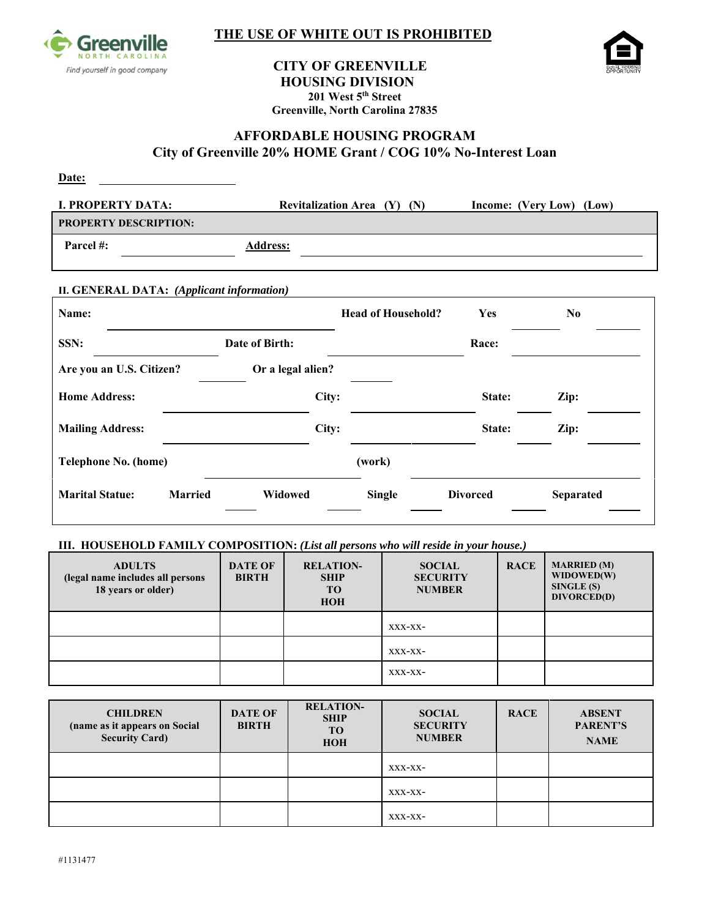

## **THE USE OF WHITE OUT IS PROHIBITED**



# **CITY OF GREENVILLE HOUSING DIVISION**<br>201 West 5<sup>th</sup> Street **Greenville, North Carolina 27835**

## **AFFORDABLE HOUSING PROGRAM City of Greenville 20% HOME Grant / COG 10% No-Interest Loan**

| Date:                        |                                 |                          |
|------------------------------|---------------------------------|--------------------------|
| I. PROPERTY DATA:            | Revitalization Area $(Y)$ $(N)$ | Income: (Very Low) (Low) |
| <b>PROPERTY DESCRIPTION:</b> |                                 |                          |
| Parcel #:                    | <b>Address:</b>                 |                          |

#### **II. GENERAL DATA:** *(Applicant information)*

| Name:                    |                |                   | <b>Head of Household?</b> | Yes             | N <sub>0</sub>   |
|--------------------------|----------------|-------------------|---------------------------|-----------------|------------------|
| SSN:                     |                | Date of Birth:    |                           | Race:           |                  |
| Are you an U.S. Citizen? |                | Or a legal alien? |                           |                 |                  |
| <b>Home Address:</b>     |                | City:             |                           | State:          | Zip:             |
| <b>Mailing Address:</b>  |                | City:             |                           | State:          | Zip:             |
| Telephone No. (home)     |                |                   | (work)                    |                 |                  |
| <b>Marital Statue:</b>   | <b>Married</b> | Widowed           | <b>Single</b>             | <b>Divorced</b> | <b>Separated</b> |

#### **III. HOUSEHOLD FAMILY COMPOSITION:** *(List all persons who will reside in your house.)*

| <b>ADULTS</b><br>(legal name includes all persons<br>18 years or older) | <b>DATE OF</b><br><b>BIRTH</b> | <b>RELATION-</b><br><b>SHIP</b><br>TO <sub>1</sub><br><b>HOH</b> | <b>SOCIAL</b><br><b>SECURITY</b><br><b>NUMBER</b> | <b>RACE</b> | <b>MARRIED</b> (M)<br>WIDOWED(W)<br>SINGLE(S)<br>DIVORCED(D) |
|-------------------------------------------------------------------------|--------------------------------|------------------------------------------------------------------|---------------------------------------------------|-------------|--------------------------------------------------------------|
|                                                                         |                                |                                                                  | XXX-XX-                                           |             |                                                              |
|                                                                         |                                |                                                                  | XXX-XX-                                           |             |                                                              |
|                                                                         |                                |                                                                  | XXX-XX-                                           |             |                                                              |

| <b>CHILDREN</b><br>(name as it appears on Social<br><b>Security Card)</b> | <b>DATE OF</b><br><b>BIRTH</b> | <b>RELATION-</b><br><b>SHIP</b><br>TO <sub>1</sub><br><b>HOH</b> | <b>SOCIAL</b><br><b>SECURITY</b><br><b>NUMBER</b> | <b>RACE</b> | <b>ABSENT</b><br>PARENT'S<br><b>NAME</b> |
|---------------------------------------------------------------------------|--------------------------------|------------------------------------------------------------------|---------------------------------------------------|-------------|------------------------------------------|
|                                                                           |                                |                                                                  | XXX-XX-                                           |             |                                          |
|                                                                           |                                |                                                                  | XXX-XX-                                           |             |                                          |
|                                                                           |                                |                                                                  | XXX-XX-                                           |             |                                          |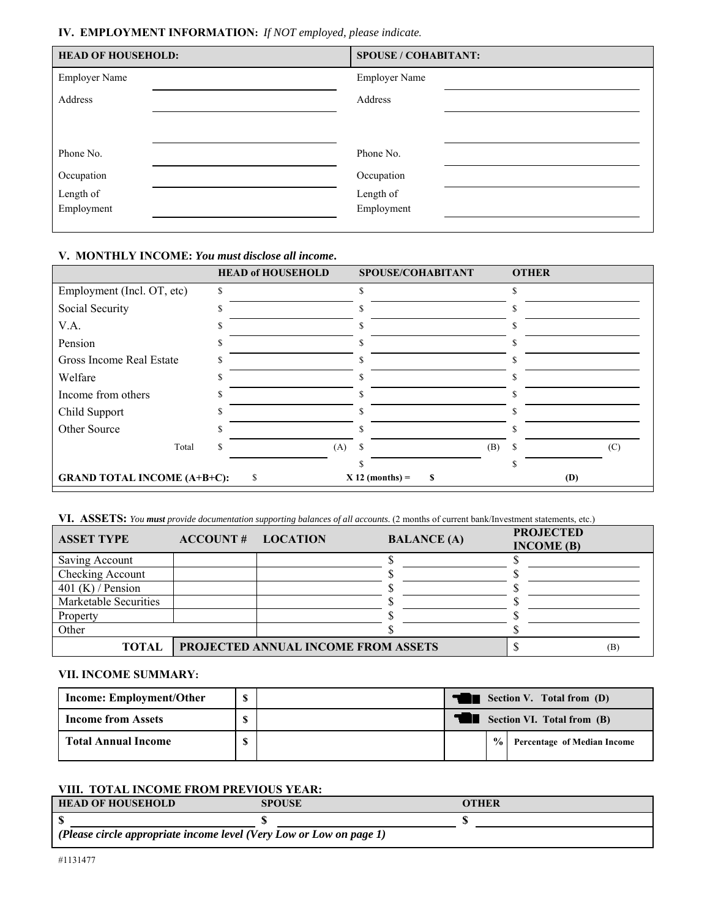## **IV. EMPLOYMENT INFORMATION:** *If NOT employed, please indicate.*

| <b>HEAD OF HOUSEHOLD:</b> | <b>SPOUSE / COHABITANT:</b> |
|---------------------------|-----------------------------|
| <b>Employer Name</b>      | <b>Employer Name</b>        |
| Address                   | Address                     |
|                           |                             |
|                           |                             |
| Phone No.                 | Phone No.                   |
| Occupation                | Occupation                  |
| Length of                 | Length of                   |
| Employment                | Employment                  |
|                           |                             |

## **V. MONTHLY INCOME:** *You must disclose all income***.**

|                                    | <b>HEAD of HOUSEHOLD</b> | SPOUSE/COHABITANT      | <b>OTHER</b> |
|------------------------------------|--------------------------|------------------------|--------------|
| Employment (Incl. OT, etc)         | \$                       | \$                     | \$           |
| Social Security                    |                          |                        |              |
| V.A.                               |                          |                        |              |
| Pension                            |                          |                        |              |
| Gross Income Real Estate           |                          |                        |              |
| Welfare                            |                          |                        |              |
| Income from others                 |                          |                        |              |
| Child Support                      |                          |                        |              |
| Other Source                       |                          |                        |              |
| Total                              | (A)                      | S<br>(B)               | (C)          |
|                                    |                          | ь                      | ς            |
| <b>GRAND TOTAL INCOME (A+B+C):</b> | \$.                      | $X$ 12 (months) =<br>S | (D)          |

**VI. ASSETS:** *You must provide documentation supporting balances of all accounts.* (2 months of current bank/Investment statements, etc.)

| <b>ASSET TYPE</b>     | <b>ACCOUNT # LOCATION</b> |                                            | <b>BALANCE</b> (A) | <b>PROJECTED</b><br>INCOME(B) |     |
|-----------------------|---------------------------|--------------------------------------------|--------------------|-------------------------------|-----|
| Saving Account        |                           |                                            |                    |                               |     |
| Checking Account      |                           |                                            |                    |                               |     |
| 401 (K) / Pension     |                           |                                            |                    |                               |     |
| Marketable Securities |                           |                                            |                    |                               |     |
| Property              |                           |                                            |                    |                               |     |
| Other                 |                           |                                            |                    |                               |     |
| <b>TOTAL</b>          |                           | <b>PROJECTED ANNUAL INCOME FROM ASSETS</b> |                    |                               | (B) |

#### **VII. INCOME SUMMARY:**

| <b>Income: Employment/Other</b> | ¢ | Section V. Total from (D)  |               |                                    |
|---------------------------------|---|----------------------------|---------------|------------------------------------|
| <b>Income from Assets</b>       |   | Section VI. Total from (B) |               |                                    |
| <b>Total Annual Income</b>      |   |                            | $\frac{1}{2}$ | <b>Percentage of Median Income</b> |

## **VIII. TOTAL INCOME FROM PREVIOUS YEAR:**

| <b>HEAD OF HOUSEHOLD</b>                                            | <b>SPOUSE</b> | <b>OTHER</b> |  |  |  |
|---------------------------------------------------------------------|---------------|--------------|--|--|--|
|                                                                     |               |              |  |  |  |
| (Please circle appropriate income level (Very Low or Low on page 1) |               |              |  |  |  |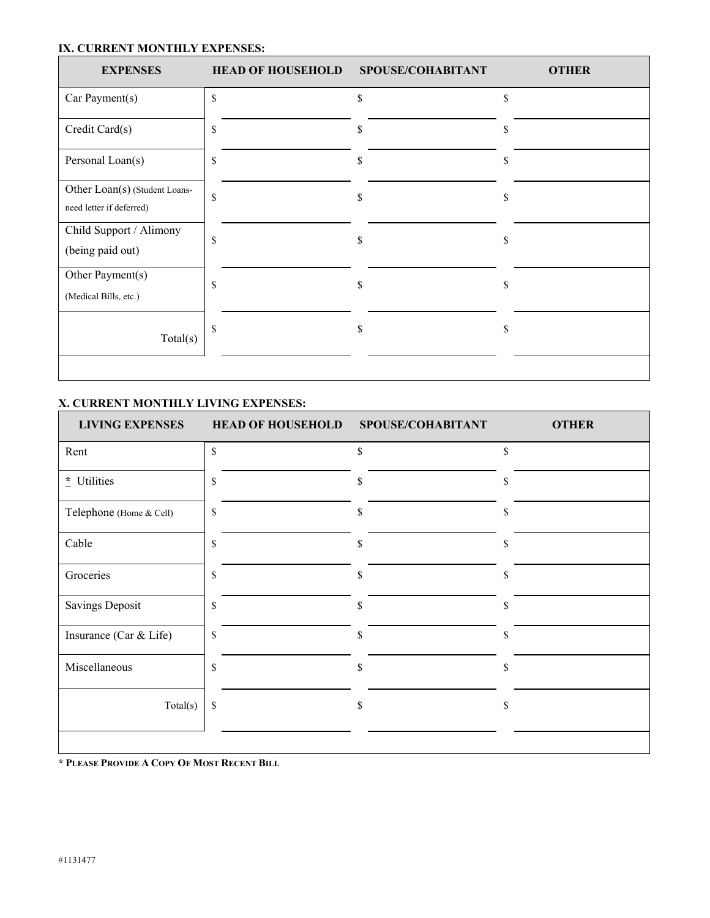#### **IX. CURRENT MONTHLY EXPENSES:**

| <b>EXPENSES</b>                                           | <b>HEAD OF HOUSEHOLD</b> | SPOUSE/COHABITANT | <b>OTHER</b> |
|-----------------------------------------------------------|--------------------------|-------------------|--------------|
| Car Payment(s)                                            | \$                       | \$                | \$           |
| Credit Card(s)                                            | \$                       | \$                | S            |
| Personal Loan(s)                                          | \$                       | \$                | \$           |
| Other Loan(s) (Student Loans-<br>need letter if deferred) | \$                       | \$                | S            |
| Child Support / Alimony<br>(being paid out)               | S                        | S                 | S            |
| Other Payment(s)<br>(Medical Bills, etc.)                 | \$                       | \$                | \$           |
| Total(s)                                                  | \$                       | \$                | S            |
|                                                           |                          |                   |              |

## **X. CURRENT MONTHLY LIVING EXPENSES:**

| <b>LIVING EXPENSES</b>  | <b>HEAD OF HOUSEHOLD</b> | SPOUSE/COHABITANT | <b>OTHER</b> |
|-------------------------|--------------------------|-------------------|--------------|
| Rent                    | \$                       | \$                | \$           |
| * Utilities             | \$                       | \$                | \$           |
| Telephone (Home & Cell) | \$                       | \$                | \$           |
| Cable                   | \$                       | \$                | \$           |
| Groceries               | \$                       | \$                | \$           |
| <b>Savings Deposit</b>  | \$                       | \$                | \$           |
| Insurance (Car & Life)  | $\mathbf S$              | \$                | \$           |
| Miscellaneous           | \$                       | \$                | \$           |
| Total(s)                | \$                       | \$                | \$           |
|                         |                          |                   |              |

**\* PLEASE PROVIDE A COPY OF MOST RECENT BILL**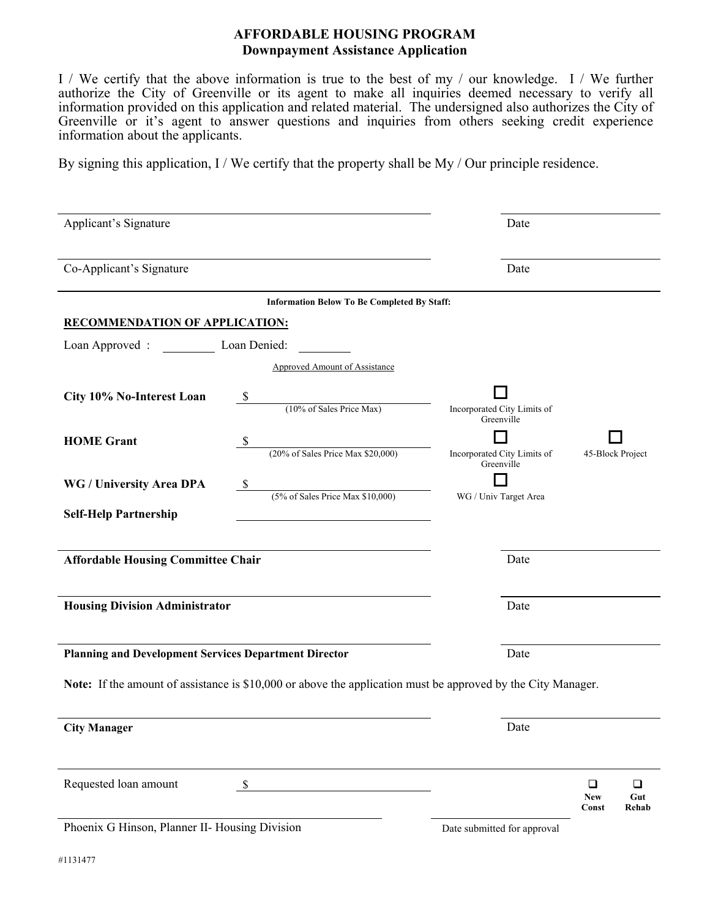## **AFFORDABLE HOUSING PROGRAM Downpayment Assistance Application**

I / We certify that the above information is true to the best of my / our knowledge. I / We further authorize the City of Greenville or its agent to make all inquiries deemed necessary to verify all information provided on this application and related material. The undersigned also authorizes the City of Greenville or it's agent to answer questions and inquiries from others seeking credit experience information about the applicants.

By signing this application, I / We certify that the property shall be My / Our principle residence.

| Applicant's Signature                                                                                               | Date                                                                                      |                                                         |
|---------------------------------------------------------------------------------------------------------------------|-------------------------------------------------------------------------------------------|---------------------------------------------------------|
| Co-Applicant's Signature                                                                                            | Date                                                                                      |                                                         |
|                                                                                                                     | <b>Information Below To Be Completed By Staff:</b>                                        |                                                         |
| <b>RECOMMENDATION OF APPLICATION:</b>                                                                               |                                                                                           |                                                         |
| Loan Denied:<br>Loan Approved :                                                                                     |                                                                                           |                                                         |
|                                                                                                                     | <b>Approved Amount of Assistance</b>                                                      |                                                         |
| City 10% No-Interest Loan<br>S                                                                                      | $(10\% \text{ of Sales Price Max})$<br>Incorporated City Limits of<br>Greenville          |                                                         |
| <b>HOME Grant</b>                                                                                                   |                                                                                           |                                                         |
|                                                                                                                     | $(20\% \text{ of Sales Price Max } $20,000)$<br>Incorporated City Limits of<br>Greenville | 45-Block Project                                        |
| WG / University Area DPA<br>- \$                                                                                    | $(5\% \text{ of Sales Price Max } $10,000)$                                               |                                                         |
| <b>Self-Help Partnership</b>                                                                                        | WG / Univ Target Area                                                                     |                                                         |
| <b>Affordable Housing Committee Chair</b>                                                                           | Date                                                                                      |                                                         |
| <b>Housing Division Administrator</b>                                                                               | Date                                                                                      |                                                         |
| <b>Planning and Development Services Department Director</b>                                                        | Date                                                                                      |                                                         |
| <b>Note:</b> If the amount of assistance is \$10,000 or above the application must be approved by the City Manager. |                                                                                           |                                                         |
| <b>City Manager</b>                                                                                                 | Date                                                                                      |                                                         |
| Requested loan amount<br>- \$                                                                                       |                                                                                           | $\Box$<br>$\Box$<br><b>New</b><br>Gut<br>Const<br>Rehab |
| Phoenix G Hinson, Planner II- Housing Division                                                                      | Date submitted for approval                                                               |                                                         |